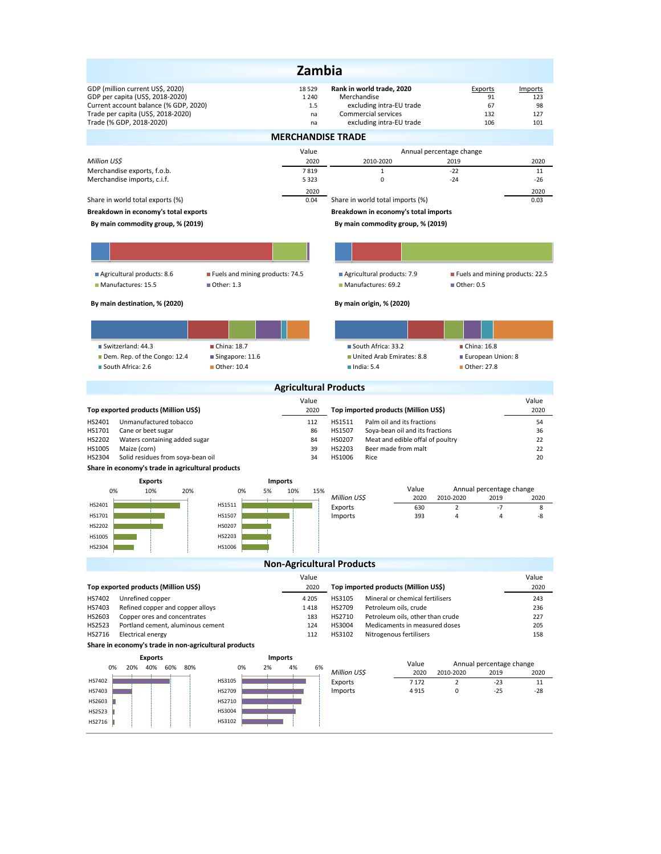| Zambia                                                                                                                                                                                       |                                       |                                                                                                                         |                                                 |                                    |  |  |  |  |  |  |
|----------------------------------------------------------------------------------------------------------------------------------------------------------------------------------------------|---------------------------------------|-------------------------------------------------------------------------------------------------------------------------|-------------------------------------------------|------------------------------------|--|--|--|--|--|--|
| GDP (million current US\$, 2020)<br>GDP per capita (US\$, 2018-2020)<br>Current account balance (% GDP, 2020)<br>Trade per capita (US\$, 2018-2020)<br>Trade (% GDP, 2018-2020)              | 18 5 29<br>1 2 4 0<br>1.5<br>na<br>na | Rank in world trade, 2020<br>Merchandise<br>excluding intra-EU trade<br>Commercial services<br>excluding intra-EU trade | Exports<br>91<br>67<br>132<br>106               | Imports<br>123<br>98<br>127<br>101 |  |  |  |  |  |  |
| <b>MERCHANDISE TRADE</b>                                                                                                                                                                     |                                       |                                                                                                                         |                                                 |                                    |  |  |  |  |  |  |
| Million US\$                                                                                                                                                                                 | Value<br>2020                         | 2010-2020                                                                                                               | Annual percentage change<br>2019                | 2020                               |  |  |  |  |  |  |
| Merchandise exports, f.o.b.                                                                                                                                                                  | 7819                                  | $\mathbf{1}$                                                                                                            | $-22$                                           | 11                                 |  |  |  |  |  |  |
| Merchandise imports, c.i.f.                                                                                                                                                                  | 5 3 2 3<br>2020                       | 0                                                                                                                       | $-24$                                           | $-26$<br>2020                      |  |  |  |  |  |  |
| Share in world total exports (%)                                                                                                                                                             | 0.04                                  | Share in world total imports (%)                                                                                        |                                                 | 0.03                               |  |  |  |  |  |  |
| Breakdown in economy's total exports                                                                                                                                                         | Breakdown in economy's total imports  |                                                                                                                         |                                                 |                                    |  |  |  |  |  |  |
| By main commodity group, % (2019)<br>By main commodity group, % (2019)                                                                                                                       |                                       |                                                                                                                         |                                                 |                                    |  |  |  |  |  |  |
|                                                                                                                                                                                              |                                       |                                                                                                                         |                                                 |                                    |  |  |  |  |  |  |
| Fuels and mining products: 74.5<br>Agricultural products: 8.6<br>Manufactures: 15.5<br>■ Other: 1.3                                                                                          |                                       | Agricultural products: 7.9<br>Manufactures: 69.2                                                                        | Fuels and mining products: 22.5<br>■ Other: 0.5 |                                    |  |  |  |  |  |  |
| By main destination, % (2020)                                                                                                                                                                |                                       | By main origin, % (2020)                                                                                                |                                                 |                                    |  |  |  |  |  |  |
|                                                                                                                                                                                              |                                       |                                                                                                                         |                                                 |                                    |  |  |  |  |  |  |
| Switzerland: 44.3<br>China: 18.7                                                                                                                                                             |                                       | South Africa: 33.2                                                                                                      | China: 16.8                                     |                                    |  |  |  |  |  |  |
| Dem. Rep. of the Congo: 12.4<br>Singapore: 11.6                                                                                                                                              |                                       | United Arab Emirates: 8.8                                                                                               | European Union: 8                               |                                    |  |  |  |  |  |  |
| South Africa: 2.6<br>Other: 10.4                                                                                                                                                             |                                       | $l$ ndia: 5.4                                                                                                           | ■ Other: 27.8                                   |                                    |  |  |  |  |  |  |
|                                                                                                                                                                                              | <b>Agricultural Products</b>          |                                                                                                                         |                                                 |                                    |  |  |  |  |  |  |
| Top exported products (Million US\$)                                                                                                                                                         | Value<br>2020                         | Top imported products (Million US\$)                                                                                    |                                                 | Value<br>2020                      |  |  |  |  |  |  |
| HS2401<br>Unmanufactured tobacco                                                                                                                                                             | 112                                   | HS1511<br>Palm oil and its fractions                                                                                    |                                                 | 54                                 |  |  |  |  |  |  |
| HS1701<br>Cane or beet sugar<br>HS2202<br>Waters containing added sugar                                                                                                                      |                                       | HS1507<br>Soya-bean oil and its fractions<br>HS0207<br>Meat and edible offal of poultry                                 |                                                 | 36<br>22                           |  |  |  |  |  |  |
| 84<br>HS1005<br>Maize (corn)<br>39                                                                                                                                                           |                                       | HS2203<br>Beer made from malt                                                                                           |                                                 | 22                                 |  |  |  |  |  |  |
| Solid residues from soya-bean oil<br>HS2304<br>Share in economy's trade in agricultural products                                                                                             | 34                                    | HS1006<br>Rice                                                                                                          |                                                 | 20                                 |  |  |  |  |  |  |
| <b>Exports</b>                                                                                                                                                                               | <b>Imports</b>                        |                                                                                                                         |                                                 |                                    |  |  |  |  |  |  |
| 0%<br>10%<br>20%<br>0%<br>5%                                                                                                                                                                 | 10%<br>15%                            | Value<br>Million US\$<br>2020                                                                                           | Annual percentage change<br>2010-2020<br>2019   | 2020                               |  |  |  |  |  |  |
| HS2401<br>HS1511                                                                                                                                                                             |                                       | 630<br>Exports                                                                                                          | $-7$<br>$\overline{2}$                          | 8                                  |  |  |  |  |  |  |
| HS1701<br>HS1507<br>HS2202<br>HS0207                                                                                                                                                         |                                       | Imports<br>393                                                                                                          | $\overline{4}$<br>$\overline{4}$                | -8                                 |  |  |  |  |  |  |
| HS1005<br>HS2203                                                                                                                                                                             |                                       |                                                                                                                         |                                                 |                                    |  |  |  |  |  |  |
| HS2304<br>HS1006                                                                                                                                                                             |                                       |                                                                                                                         |                                                 |                                    |  |  |  |  |  |  |
|                                                                                                                                                                                              | <b>Non-Agricultural Products</b>      |                                                                                                                         |                                                 |                                    |  |  |  |  |  |  |
| Top exported products (Million US\$)                                                                                                                                                         | Value<br>2020                         | Top imported products (Million US\$)                                                                                    |                                                 | Value<br>2020                      |  |  |  |  |  |  |
| HS7402<br>Unrefined copper                                                                                                                                                                   | 4 2 0 5                               | HS3105<br>Mineral or chemical fertilisers                                                                               |                                                 | 243                                |  |  |  |  |  |  |
| HS7403<br>Refined copper and copper alloys                                                                                                                                                   | 1418                                  | HS2709<br>Petroleum oils, crude                                                                                         |                                                 | 236                                |  |  |  |  |  |  |
| HS2603<br>Copper ores and concentrates<br>183<br>HS2710<br>Petroleum oils, other than crude<br>HS2523<br>124<br>HS3004<br>Portland cement, aluminous cement<br>Medicaments in measured doses |                                       |                                                                                                                         | 227<br>205                                      |                                    |  |  |  |  |  |  |
| HS2716<br><b>Electrical energy</b>                                                                                                                                                           | 112                                   | HS3102<br>Nitrogenous fertilisers                                                                                       |                                                 | 158                                |  |  |  |  |  |  |
| Share in economy's trade in non-agricultural products                                                                                                                                        |                                       |                                                                                                                         |                                                 |                                    |  |  |  |  |  |  |
| <b>Exports</b><br>20% 40% 60% 80%<br>2%<br>0%<br>0%                                                                                                                                          | <b>Imports</b><br>4%<br>6%            | Value                                                                                                                   | Annual percentage change                        |                                    |  |  |  |  |  |  |
| HS3105<br>HS7402                                                                                                                                                                             |                                       | Million US\$<br>2020<br>7 1 7 2<br>Exports                                                                              | 2010-2020<br>2019<br>$\overline{2}$<br>$-23$    | 2020<br>11                         |  |  |  |  |  |  |
| HS2709<br>HS7403                                                                                                                                                                             |                                       | Imports<br>4915                                                                                                         | 0<br>$-25$                                      | $-28$                              |  |  |  |  |  |  |
| HS2710<br>HS2603                                                                                                                                                                             |                                       |                                                                                                                         |                                                 |                                    |  |  |  |  |  |  |
| HS3004<br>HS2523<br>HS3102<br>HS2716                                                                                                                                                         |                                       |                                                                                                                         |                                                 |                                    |  |  |  |  |  |  |
|                                                                                                                                                                                              |                                       |                                                                                                                         |                                                 |                                    |  |  |  |  |  |  |